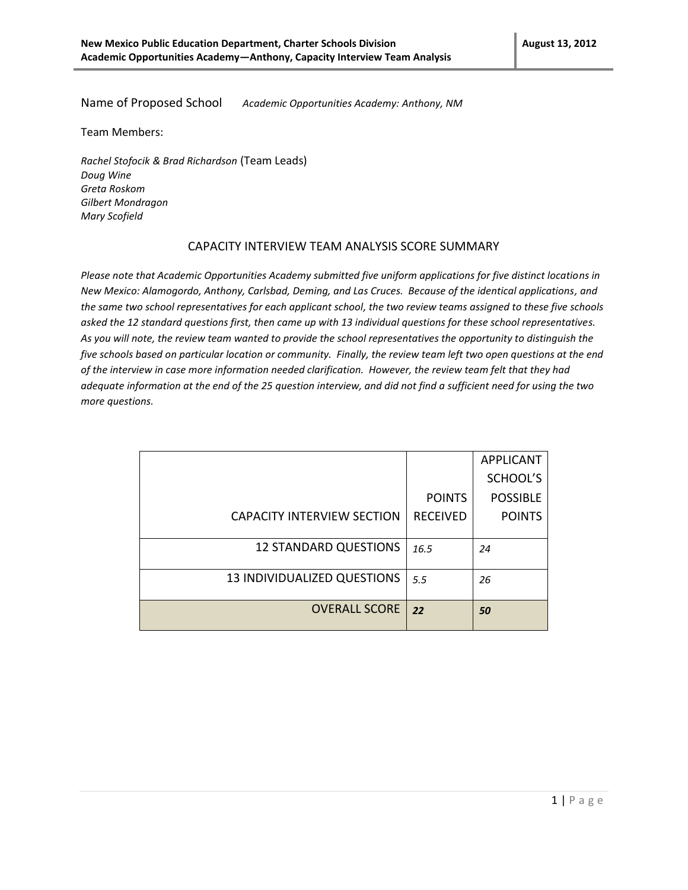Name of Proposed School *Academic Opportunities Academy: Anthony, NM*

Team Members:

*Rachel Stofocik & Brad Richardson* (Team Leads) *Doug Wine Greta Roskom Gilbert Mondragon Mary Scofield*

## CAPACITY INTERVIEW TEAM ANALYSIS SCORE SUMMARY

*Please note that Academic Opportunities Academy submitted five uniform applications for five distinct locations in New Mexico: Alamogordo, Anthony, Carlsbad, Deming, and Las Cruces. Because of the identical applications, and the same two school representatives for each applicant school, the two review teams assigned to these five schools asked the 12 standard questions first, then came up with 13 individual questions for these school representatives. As you will note, the review team wanted to provide the school representatives the opportunity to distinguish the five schools based on particular location or community. Finally, the review team left two open questions at the end of the interview in case more information needed clarification. However, the review team felt that they had adequate information at the end of the 25 question interview, and did not find a sufficient need for using the two more questions.*

|                                   |                 | <b>APPLICANT</b> |
|-----------------------------------|-----------------|------------------|
|                                   |                 | SCHOOL'S         |
|                                   | <b>POINTS</b>   | <b>POSSIBLE</b>  |
| <b>CAPACITY INTERVIEW SECTION</b> | <b>RECEIVED</b> | <b>POINTS</b>    |
|                                   |                 |                  |
| <b>12 STANDARD QUESTIONS</b>      | 16.5            | 24               |
|                                   |                 |                  |
| 13 INDIVIDUALIZED QUESTIONS       | 5.5             | 26               |
|                                   |                 |                  |
| <b>OVERALL SCORE</b>              | 22              | 50               |
|                                   |                 |                  |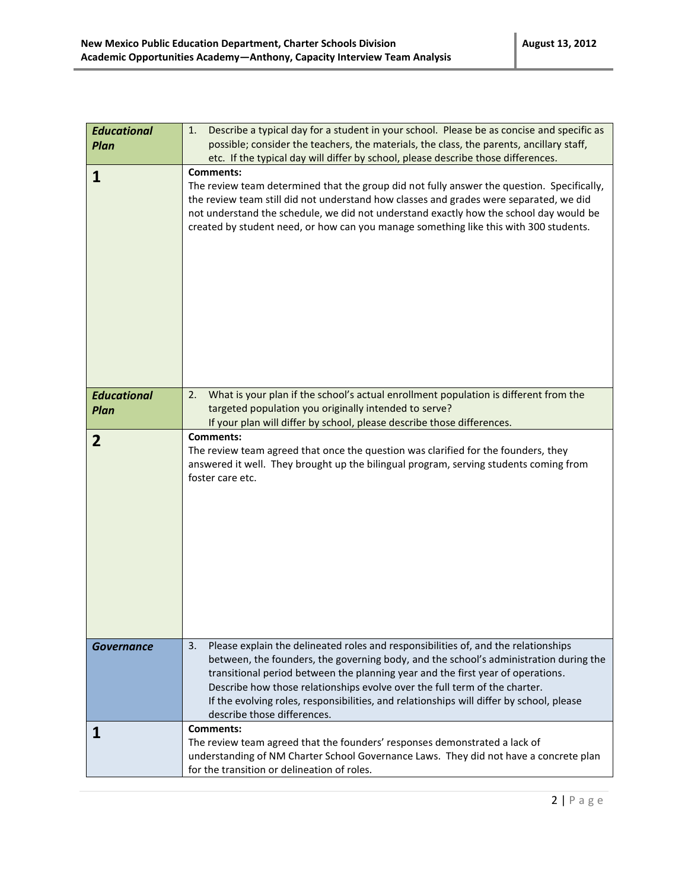| <b>Educational</b><br>Plan | Describe a typical day for a student in your school. Please be as concise and specific as<br>1.<br>possible; consider the teachers, the materials, the class, the parents, ancillary staff,<br>etc. If the typical day will differ by school, please describe those differences.                                                                                                                                                                                              |
|----------------------------|-------------------------------------------------------------------------------------------------------------------------------------------------------------------------------------------------------------------------------------------------------------------------------------------------------------------------------------------------------------------------------------------------------------------------------------------------------------------------------|
| 1                          | <b>Comments:</b><br>The review team determined that the group did not fully answer the question. Specifically,<br>the review team still did not understand how classes and grades were separated, we did<br>not understand the schedule, we did not understand exactly how the school day would be<br>created by student need, or how can you manage something like this with 300 students.                                                                                   |
| <b>Educational</b>         | What is your plan if the school's actual enrollment population is different from the<br>2.<br>targeted population you originally intended to serve?                                                                                                                                                                                                                                                                                                                           |
| Plan                       | If your plan will differ by school, please describe those differences.                                                                                                                                                                                                                                                                                                                                                                                                        |
| $\overline{2}$             | <b>Comments:</b><br>The review team agreed that once the question was clarified for the founders, they<br>answered it well. They brought up the bilingual program, serving students coming from<br>foster care etc.                                                                                                                                                                                                                                                           |
| <b>Governance</b>          | Please explain the delineated roles and responsibilities of, and the relationships<br>3.<br>between, the founders, the governing body, and the school's administration during the<br>transitional period between the planning year and the first year of operations.<br>Describe how those relationships evolve over the full term of the charter.<br>If the evolving roles, responsibilities, and relationships will differ by school, please<br>describe those differences. |
| Ц                          | <b>Comments:</b><br>The review team agreed that the founders' responses demonstrated a lack of<br>understanding of NM Charter School Governance Laws. They did not have a concrete plan<br>for the transition or delineation of roles.                                                                                                                                                                                                                                        |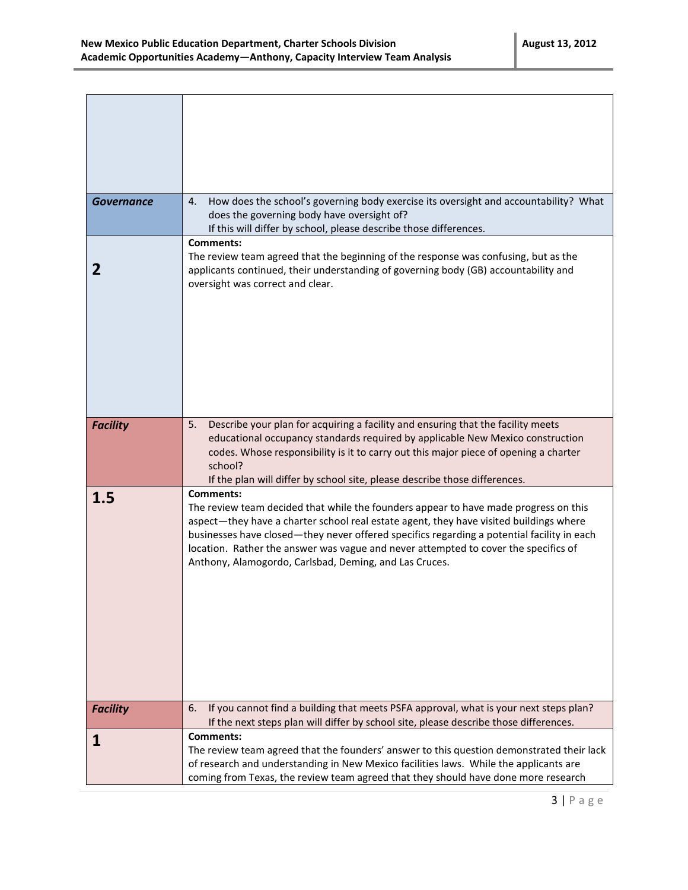| <b>Governance</b> | How does the school's governing body exercise its oversight and accountability? What<br>4.<br>does the governing body have oversight of?                                                                                                                                                                                                                                                                                                          |
|-------------------|---------------------------------------------------------------------------------------------------------------------------------------------------------------------------------------------------------------------------------------------------------------------------------------------------------------------------------------------------------------------------------------------------------------------------------------------------|
|                   | If this will differ by school, please describe those differences.                                                                                                                                                                                                                                                                                                                                                                                 |
|                   | Comments:                                                                                                                                                                                                                                                                                                                                                                                                                                         |
| 2                 | The review team agreed that the beginning of the response was confusing, but as the<br>applicants continued, their understanding of governing body (GB) accountability and<br>oversight was correct and clear.                                                                                                                                                                                                                                    |
|                   |                                                                                                                                                                                                                                                                                                                                                                                                                                                   |
| <b>Facility</b>   | Describe your plan for acquiring a facility and ensuring that the facility meets<br>5.<br>educational occupancy standards required by applicable New Mexico construction<br>codes. Whose responsibility is it to carry out this major piece of opening a charter<br>school?<br>If the plan will differ by school site, please describe those differences.                                                                                         |
| 1.5               | <b>Comments:</b><br>The review team decided that while the founders appear to have made progress on this<br>aspect-they have a charter school real estate agent, they have visited buildings where<br>businesses have closed—they never offered specifics regarding a potential facility in each<br>location. Rather the answer was vague and never attempted to cover the specifics of<br>Anthony, Alamogordo, Carlsbad, Deming, and Las Cruces. |
| <b>Facility</b>   | If you cannot find a building that meets PSFA approval, what is your next steps plan?<br>6.                                                                                                                                                                                                                                                                                                                                                       |
|                   | If the next steps plan will differ by school site, please describe those differences.                                                                                                                                                                                                                                                                                                                                                             |
| 1                 | Comments:                                                                                                                                                                                                                                                                                                                                                                                                                                         |
|                   | The review team agreed that the founders' answer to this question demonstrated their lack<br>of research and understanding in New Mexico facilities laws. While the applicants are                                                                                                                                                                                                                                                                |
|                   | coming from Texas, the review team agreed that they should have done more research                                                                                                                                                                                                                                                                                                                                                                |
|                   |                                                                                                                                                                                                                                                                                                                                                                                                                                                   |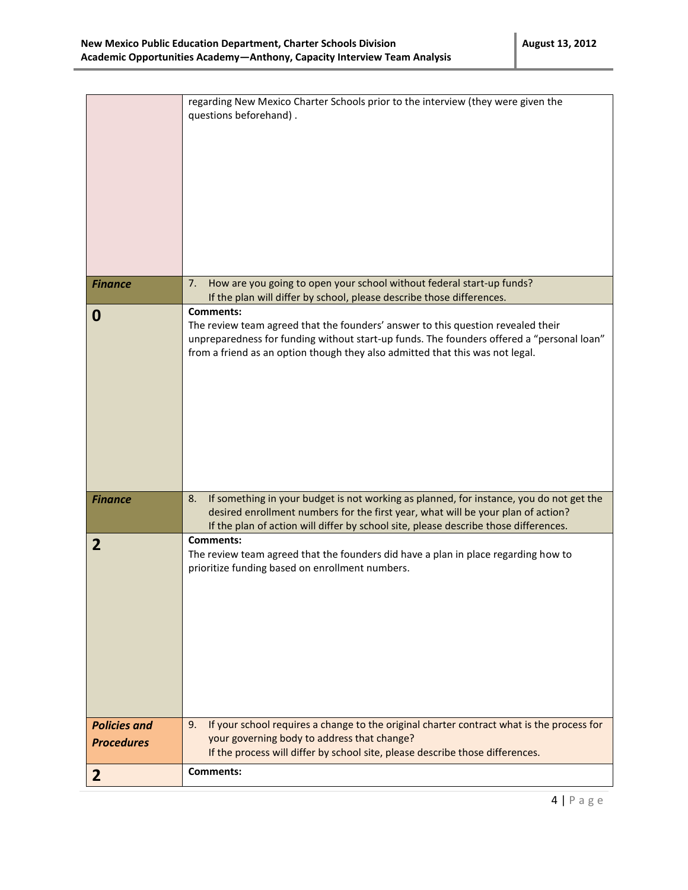| <b>Finance</b>      | regarding New Mexico Charter Schools prior to the interview (they were given the<br>questions beforehand).<br>How are you going to open your school without federal start-up funds?<br>7.                                                                                          |
|---------------------|------------------------------------------------------------------------------------------------------------------------------------------------------------------------------------------------------------------------------------------------------------------------------------|
|                     | If the plan will differ by school, please describe those differences.                                                                                                                                                                                                              |
| 0                   | <b>Comments:</b><br>The review team agreed that the founders' answer to this question revealed their<br>unpreparedness for funding without start-up funds. The founders offered a "personal loan"<br>from a friend as an option though they also admitted that this was not legal. |
| <b>Finance</b>      | If something in your budget is not working as planned, for instance, you do not get the<br>8.<br>desired enrollment numbers for the first year, what will be your plan of action?<br>If the plan of action will differ by school site, please describe those differences.          |
| $\overline{2}$      | <b>Comments:</b><br>The review team agreed that the founders did have a plan in place regarding how to<br>prioritize funding based on enrollment numbers.                                                                                                                          |
| <b>Policies and</b> | If your school requires a change to the original charter contract what is the process for<br>9.<br>your governing body to address that change?                                                                                                                                     |
| <b>Procedures</b>   | If the process will differ by school site, please describe those differences.                                                                                                                                                                                                      |
| $\mathbf{2}$        | Comments:                                                                                                                                                                                                                                                                          |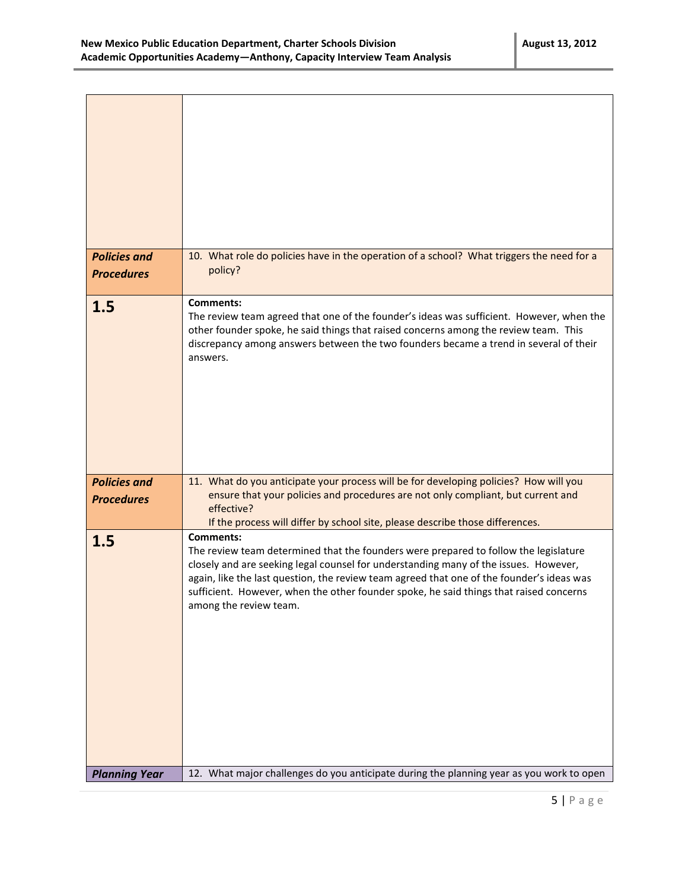$\blacksquare$ 

 $\top$ 

| <b>Policies and</b><br><b>Procedures</b> | 10. What role do policies have in the operation of a school? What triggers the need for a<br>policy?                                                                                                                                                                                                                                                                                                              |
|------------------------------------------|-------------------------------------------------------------------------------------------------------------------------------------------------------------------------------------------------------------------------------------------------------------------------------------------------------------------------------------------------------------------------------------------------------------------|
| 1.5                                      | <b>Comments:</b><br>The review team agreed that one of the founder's ideas was sufficient. However, when the<br>other founder spoke, he said things that raised concerns among the review team. This<br>discrepancy among answers between the two founders became a trend in several of their<br>answers.                                                                                                         |
| <b>Policies and</b>                      | 11. What do you anticipate your process will be for developing policies? How will you                                                                                                                                                                                                                                                                                                                             |
| <b>Procedures</b>                        | ensure that your policies and procedures are not only compliant, but current and<br>effective?<br>If the process will differ by school site, please describe those differences.                                                                                                                                                                                                                                   |
| 1.5                                      | <b>Comments:</b><br>The review team determined that the founders were prepared to follow the legislature<br>closely and are seeking legal counsel for understanding many of the issues. However,<br>again, like the last question, the review team agreed that one of the founder's ideas was<br>sufficient. However, when the other founder spoke, he said things that raised concerns<br>among the review team. |
| <b>Planning Year</b>                     | 12. What major challenges do you anticipate during the planning year as you work to open                                                                                                                                                                                                                                                                                                                          |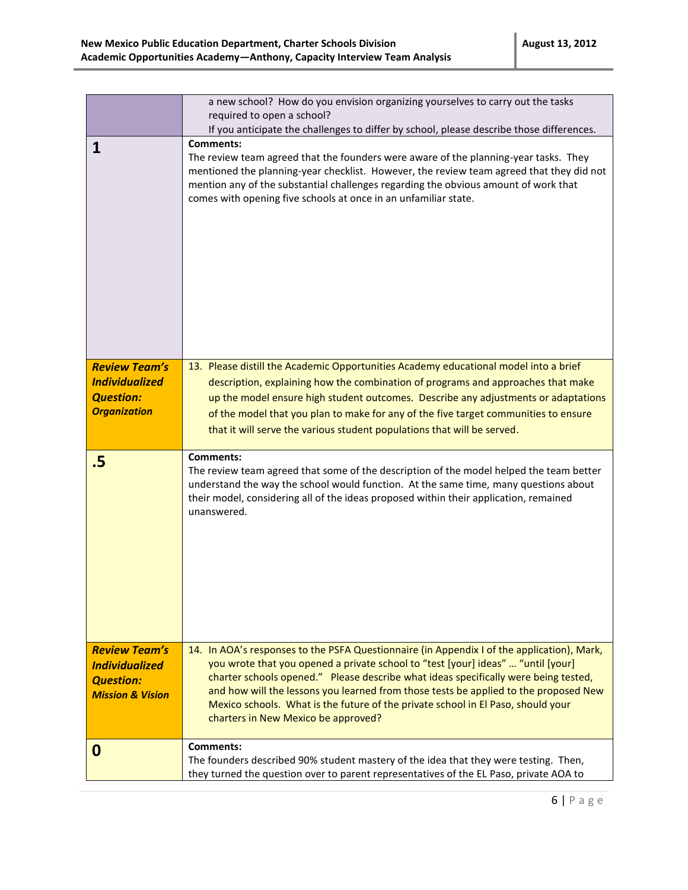|                                                                                                  | a new school? How do you envision organizing yourselves to carry out the tasks<br>required to open a school?                                                                                                                                                                                                                                                                                                                                                                             |
|--------------------------------------------------------------------------------------------------|------------------------------------------------------------------------------------------------------------------------------------------------------------------------------------------------------------------------------------------------------------------------------------------------------------------------------------------------------------------------------------------------------------------------------------------------------------------------------------------|
|                                                                                                  | If you anticipate the challenges to differ by school, please describe those differences.                                                                                                                                                                                                                                                                                                                                                                                                 |
| 1                                                                                                | Comments:<br>The review team agreed that the founders were aware of the planning-year tasks. They<br>mentioned the planning-year checklist. However, the review team agreed that they did not<br>mention any of the substantial challenges regarding the obvious amount of work that<br>comes with opening five schools at once in an unfamiliar state.                                                                                                                                  |
| <b>Review Team's</b><br><b>Individualized</b><br><b>Question:</b><br><b>Organization</b>         | 13. Please distill the Academic Opportunities Academy educational model into a brief<br>description, explaining how the combination of programs and approaches that make<br>up the model ensure high student outcomes. Describe any adjustments or adaptations<br>of the model that you plan to make for any of the five target communities to ensure<br>that it will serve the various student populations that will be served.                                                         |
| .5                                                                                               | <b>Comments:</b><br>The review team agreed that some of the description of the model helped the team better<br>understand the way the school would function. At the same time, many questions about<br>their model, considering all of the ideas proposed within their application, remained<br>unanswered.                                                                                                                                                                              |
| <b>Review Team's</b><br><b>Individualized</b><br><b>Question:</b><br><b>Mission &amp; Vision</b> | 14. In AOA's responses to the PSFA Questionnaire (in Appendix I of the application), Mark,<br>you wrote that you opened a private school to "test [your] ideas"  "until [your]<br>charter schools opened." Please describe what ideas specifically were being tested,<br>and how will the lessons you learned from those tests be applied to the proposed New<br>Mexico schools. What is the future of the private school in El Paso, should your<br>charters in New Mexico be approved? |
| 0                                                                                                | Comments:<br>The founders described 90% student mastery of the idea that they were testing. Then,<br>they turned the question over to parent representatives of the EL Paso, private AOA to                                                                                                                                                                                                                                                                                              |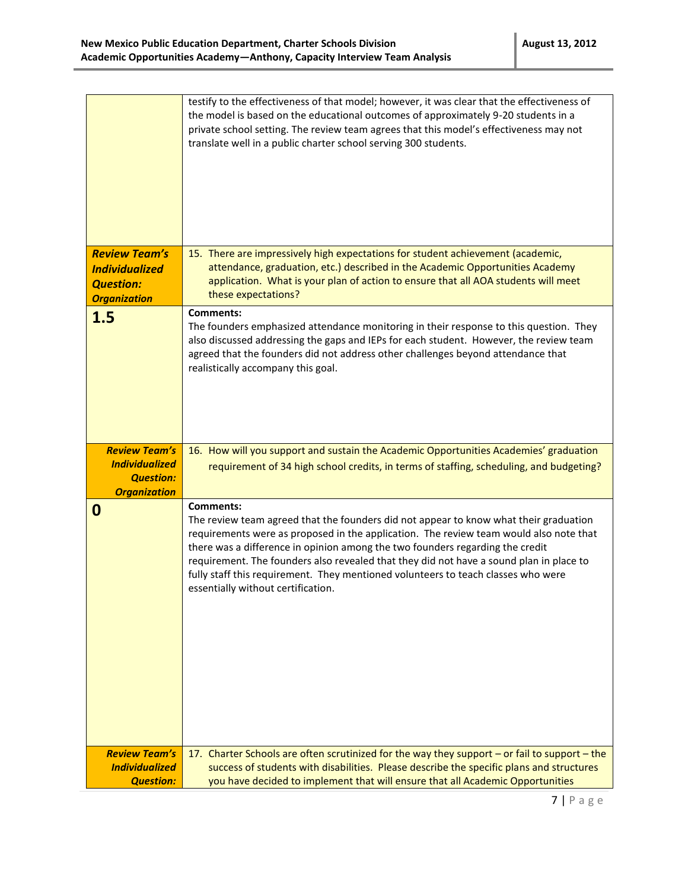| <b>Review Team's</b>                                                                     | testify to the effectiveness of that model; however, it was clear that the effectiveness of<br>the model is based on the educational outcomes of approximately 9-20 students in a<br>private school setting. The review team agrees that this model's effectiveness may not<br>translate well in a public charter school serving 300 students.<br>15. There are impressively high expectations for student achievement (academic,                                                                          |
|------------------------------------------------------------------------------------------|------------------------------------------------------------------------------------------------------------------------------------------------------------------------------------------------------------------------------------------------------------------------------------------------------------------------------------------------------------------------------------------------------------------------------------------------------------------------------------------------------------|
| <b>Individualized</b><br><b>Question:</b><br><b>Organization</b>                         | attendance, graduation, etc.) described in the Academic Opportunities Academy<br>application. What is your plan of action to ensure that all AOA students will meet<br>these expectations?                                                                                                                                                                                                                                                                                                                 |
| 1.5                                                                                      | <b>Comments:</b><br>The founders emphasized attendance monitoring in their response to this question. They<br>also discussed addressing the gaps and IEPs for each student. However, the review team<br>agreed that the founders did not address other challenges beyond attendance that<br>realistically accompany this goal.                                                                                                                                                                             |
| <b>Review Team's</b><br><b>Individualized</b><br><b>Question:</b><br><b>Organization</b> | 16. How will you support and sustain the Academic Opportunities Academies' graduation<br>requirement of 34 high school credits, in terms of staffing, scheduling, and budgeting?                                                                                                                                                                                                                                                                                                                           |
| 0                                                                                        | <b>Comments:</b><br>The review team agreed that the founders did not appear to know what their graduation<br>requirements were as proposed in the application. The review team would also note that<br>there was a difference in opinion among the two founders regarding the credit<br>requirement. The founders also revealed that they did not have a sound plan in place to<br>fully staff this requirement. They mentioned volunteers to teach classes who were<br>essentially without certification. |
| <b>Review Team's</b><br><b>Individualized</b><br><b>Question:</b>                        | 17. Charter Schools are often scrutinized for the way they support - or fail to support - the<br>success of students with disabilities. Please describe the specific plans and structures<br>you have decided to implement that will ensure that all Academic Opportunities                                                                                                                                                                                                                                |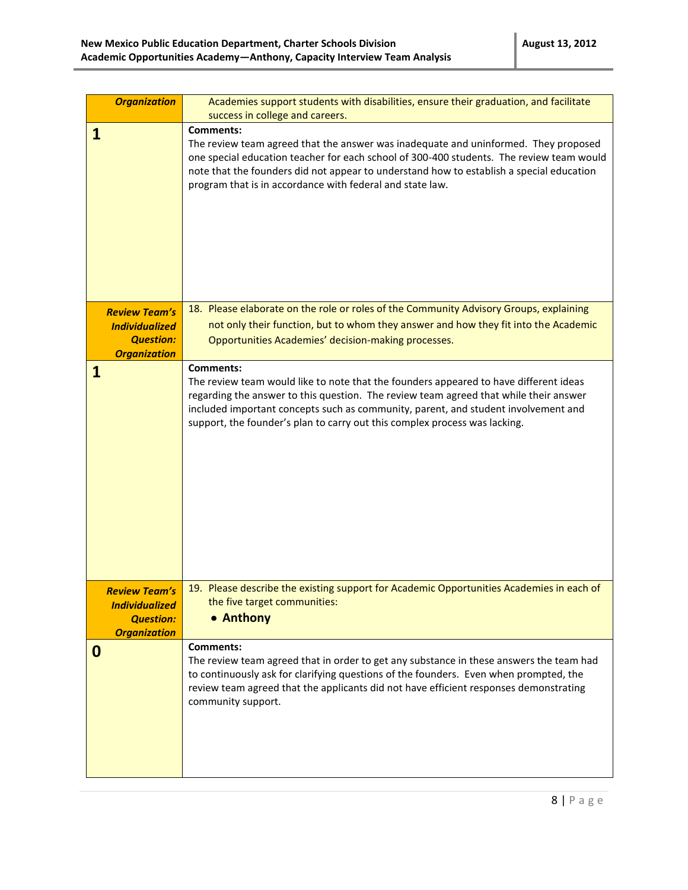| <b>Organization</b>                                                                      | Academies support students with disabilities, ensure their graduation, and facilitate<br>success in college and careers.                                                                                                                                                                                                                                               |
|------------------------------------------------------------------------------------------|------------------------------------------------------------------------------------------------------------------------------------------------------------------------------------------------------------------------------------------------------------------------------------------------------------------------------------------------------------------------|
| 1                                                                                        | <b>Comments:</b><br>The review team agreed that the answer was inadequate and uninformed. They proposed<br>one special education teacher for each school of 300-400 students. The review team would<br>note that the founders did not appear to understand how to establish a special education<br>program that is in accordance with federal and state law.           |
| <b>Review Team's</b><br><b>Individualized</b><br><b>Question:</b><br><b>Organization</b> | 18. Please elaborate on the role or roles of the Community Advisory Groups, explaining<br>not only their function, but to whom they answer and how they fit into the Academic<br>Opportunities Academies' decision-making processes.                                                                                                                                   |
| 1                                                                                        | <b>Comments:</b><br>The review team would like to note that the founders appeared to have different ideas<br>regarding the answer to this question. The review team agreed that while their answer<br>included important concepts such as community, parent, and student involvement and<br>support, the founder's plan to carry out this complex process was lacking. |
| <b>Review Team's</b><br><b>Individualized</b><br><b>Question:</b><br><b>Organization</b> | 19. Please describe the existing support for Academic Opportunities Academies in each of<br>the five target communities:<br>• Anthony                                                                                                                                                                                                                                  |
| 0                                                                                        | Comments:<br>The review team agreed that in order to get any substance in these answers the team had<br>to continuously ask for clarifying questions of the founders. Even when prompted, the<br>review team agreed that the applicants did not have efficient responses demonstrating<br>community support.                                                           |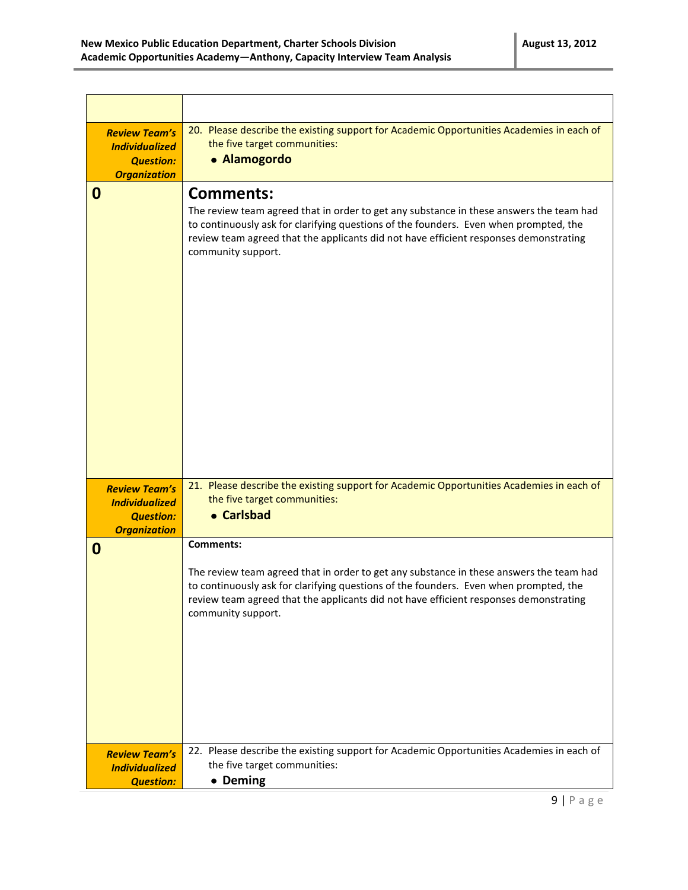| <b>Review Team's</b><br><b>Individualized</b><br><b>Question:</b><br><b>Organization</b> | 20. Please describe the existing support for Academic Opportunities Academies in each of<br>the five target communities:<br>• Alamogordo                                                                                                                                                                            |
|------------------------------------------------------------------------------------------|---------------------------------------------------------------------------------------------------------------------------------------------------------------------------------------------------------------------------------------------------------------------------------------------------------------------|
| 0                                                                                        | <b>Comments:</b><br>The review team agreed that in order to get any substance in these answers the team had<br>to continuously ask for clarifying questions of the founders. Even when prompted, the<br>review team agreed that the applicants did not have efficient responses demonstrating<br>community support. |
| <b>Review Team's</b><br><b>Individualized</b><br><b>Question:</b><br><b>Organization</b> | 21. Please describe the existing support for Academic Opportunities Academies in each of<br>the five target communities:<br>• Carlsbad                                                                                                                                                                              |
| 0                                                                                        | <b>Comments:</b><br>The review team agreed that in order to get any substance in these answers the team had<br>to continuously ask for clarifying questions of the founders. Even when prompted, the<br>review team agreed that the applicants did not have efficient responses demonstrating<br>community support. |
| <b>Review Team's</b><br><b>Individualized</b><br><b>Question:</b>                        | 22. Please describe the existing support for Academic Opportunities Academies in each of<br>the five target communities:<br>• Deming                                                                                                                                                                                |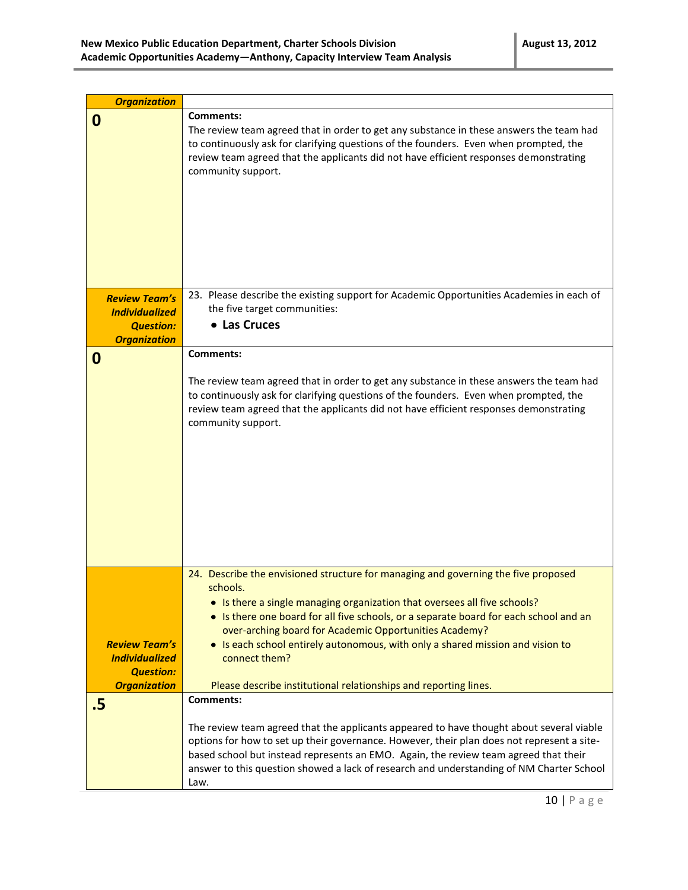| <b>Organization</b>   |                                                                                                                                          |
|-----------------------|------------------------------------------------------------------------------------------------------------------------------------------|
| 0                     | <b>Comments:</b>                                                                                                                         |
|                       | The review team agreed that in order to get any substance in these answers the team had                                                  |
|                       | to continuously ask for clarifying questions of the founders. Even when prompted, the                                                    |
|                       | review team agreed that the applicants did not have efficient responses demonstrating                                                    |
|                       | community support.                                                                                                                       |
|                       |                                                                                                                                          |
|                       |                                                                                                                                          |
|                       |                                                                                                                                          |
|                       |                                                                                                                                          |
|                       |                                                                                                                                          |
|                       |                                                                                                                                          |
|                       |                                                                                                                                          |
| <b>Review Team's</b>  | 23. Please describe the existing support for Academic Opportunities Academies in each of                                                 |
| <b>Individualized</b> | the five target communities:                                                                                                             |
| <b>Question:</b>      | • Las Cruces                                                                                                                             |
| <b>Organization</b>   |                                                                                                                                          |
| 0                     | <b>Comments:</b>                                                                                                                         |
|                       | The review team agreed that in order to get any substance in these answers the team had                                                  |
|                       | to continuously ask for clarifying questions of the founders. Even when prompted, the                                                    |
|                       | review team agreed that the applicants did not have efficient responses demonstrating                                                    |
|                       | community support.                                                                                                                       |
|                       |                                                                                                                                          |
|                       |                                                                                                                                          |
|                       |                                                                                                                                          |
|                       |                                                                                                                                          |
|                       |                                                                                                                                          |
|                       |                                                                                                                                          |
|                       |                                                                                                                                          |
|                       |                                                                                                                                          |
|                       |                                                                                                                                          |
|                       | 24. Describe the envisioned structure for managing and governing the five proposed                                                       |
|                       | schools.                                                                                                                                 |
|                       | Is there a single managing organization that oversees all five schools?                                                                  |
|                       | • Is there one board for all five schools, or a separate board for each school and an                                                    |
| <b>Review Team's</b>  | over-arching board for Academic Opportunities Academy?<br>• Is each school entirely autonomous, with only a shared mission and vision to |
| <b>Individualized</b> | connect them?                                                                                                                            |
| <b>Question:</b>      |                                                                                                                                          |
| <b>Organization</b>   | Please describe institutional relationships and reporting lines.                                                                         |
| .5                    | <b>Comments:</b>                                                                                                                         |
|                       |                                                                                                                                          |
|                       | The review team agreed that the applicants appeared to have thought about several viable                                                 |
|                       | options for how to set up their governance. However, their plan does not represent a site-                                               |
|                       | based school but instead represents an EMO. Again, the review team agreed that their                                                     |
|                       | answer to this question showed a lack of research and understanding of NM Charter School<br>Law.                                         |
|                       |                                                                                                                                          |